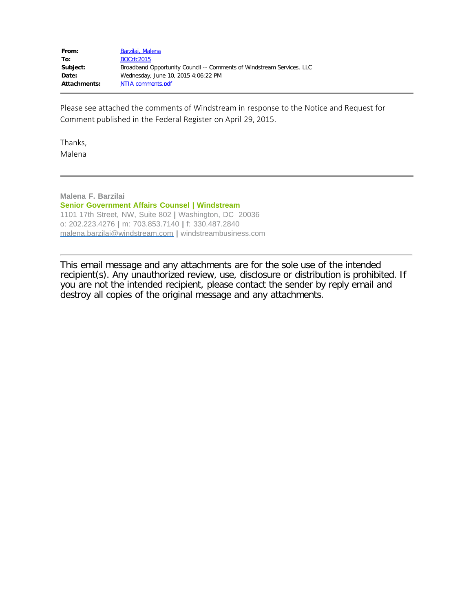| From:               | Barzilai, Malena                                                      |
|---------------------|-----------------------------------------------------------------------|
| To:                 | BOCrfc2015                                                            |
| Subject:            | Broadband Opportunity Council -- Comments of Windstream Services, LLC |
| Date:               | Wednesday, June 10, 2015 4:06:22 PM                                   |
| <b>Attachments:</b> | NTIA comments.pdf                                                     |

Please see attached the comments of Windstream in response to the Notice and Request for Comment published in the Federal Register on April 29, 2015.

Thanks, Malena

**Malena F. Barzilai Senior Government Affairs Counsel | Windstream** 1101 17th Street, NW, Suite 802 **|** Washington, DC 20036 o: 202.223.4276 **|** m: 703.853.7140 **|** f: 330.487.2840 [malena.barzilai@windstream.com](mailto:malena.barzilai@windstream.com) **|** windstreambusiness.com

This email message and any attachments are for the sole use of the intended recipient(s). Any unauthorized review, use, disclosure or distribution is prohibited. If you are not the intended recipient, please contact the sender by reply email and destroy all copies of the original message and any attachments.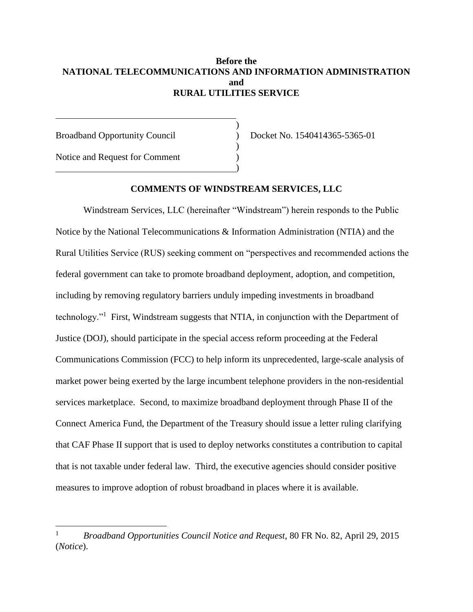## **Before the NATIONAL TELECOMMUNICATIONS AND INFORMATION ADMINISTRATION and RURAL UTILITIES SERVICE**

)

)

)

Broadband Opportunity Council (b) Docket No. 1540414365-5365-01

Notice and Request for Comment (1997)

 $\overline{\phantom{a}}$ 

### **COMMENTS OF WINDSTREAM SERVICES, LLC**

Windstream Services, LLC (hereinafter "Windstream") herein responds to the Public Notice by the National Telecommunications & Information Administration (NTIA) and the Rural Utilities Service (RUS) seeking comment on "perspectives and recommended actions the federal government can take to promote broadband deployment, adoption, and competition, including by removing regulatory barriers unduly impeding investments in broadband technology."<sup>1</sup> First, Windstream suggests that NTIA, in conjunction with the Department of Justice (DOJ), should participate in the special access reform proceeding at the Federal Communications Commission (FCC) to help inform its unprecedented, large-scale analysis of market power being exerted by the large incumbent telephone providers in the non-residential services marketplace. Second, to maximize broadband deployment through Phase II of the Connect America Fund, the Department of the Treasury should issue a letter ruling clarifying that CAF Phase II support that is used to deploy networks constitutes a contribution to capital that is not taxable under federal law. Third, the executive agencies should consider positive measures to improve adoption of robust broadband in places where it is available.

<sup>1</sup> *Broadband Opportunities Council Notice and Request*, 80 FR No. 82, April 29, 2015 (*Notice*).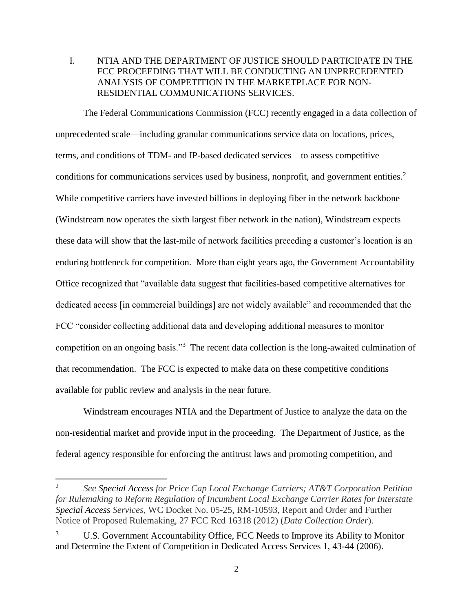I. NTIA AND THE DEPARTMENT OF JUSTICE SHOULD PARTICIPATE IN THE FCC PROCEEDING THAT WILL BE CONDUCTING AN UNPRECEDENTED ANALYSIS OF COMPETITION IN THE MARKETPLACE FOR NON-RESIDENTIAL COMMUNICATIONS SERVICES.

The Federal Communications Commission (FCC) recently engaged in a data collection of unprecedented scale—including granular communications service data on locations, prices, terms, and conditions of TDM- and IP-based dedicated services—to assess competitive conditions for communications services used by business, nonprofit, and government entities. 2 While competitive carriers have invested billions in deploying fiber in the network backbone (Windstream now operates the sixth largest fiber network in the nation), Windstream expects these data will show that the last-mile of network facilities preceding a customer's location is an enduring bottleneck for competition. More than eight years ago, the Government Accountability Office recognized that "available data suggest that facilities-based competitive alternatives for dedicated access [in commercial buildings] are not widely available" and recommended that the FCC "consider collecting additional data and developing additional measures to monitor competition on an ongoing basis."<sup>3</sup> The recent data collection is the long-awaited culmination of that recommendation. The FCC is expected to make data on these competitive conditions available for public review and analysis in the near future.

Windstream encourages NTIA and the Department of Justice to analyze the data on the non-residential market and provide input in the proceeding. The Department of Justice, as the federal agency responsible for enforcing the antitrust laws and promoting competition, and

 $\overline{\phantom{a}}$ 

<sup>2</sup> *See Special Access for Price Cap Local Exchange Carriers; AT&T Corporation Petition for Rulemaking to Reform Regulation of Incumbent Local Exchange Carrier Rates for Interstate Special Access Services*, WC Docket No. 05-25, RM-10593, Report and Order and Further Notice of Proposed Rulemaking, 27 FCC Rcd 16318 (2012) (*Data Collection Order*).

U.S. Government Accountability Office, FCC Needs to Improve its Ability to Monitor and Determine the Extent of Competition in Dedicated Access Services 1, 43-44 (2006).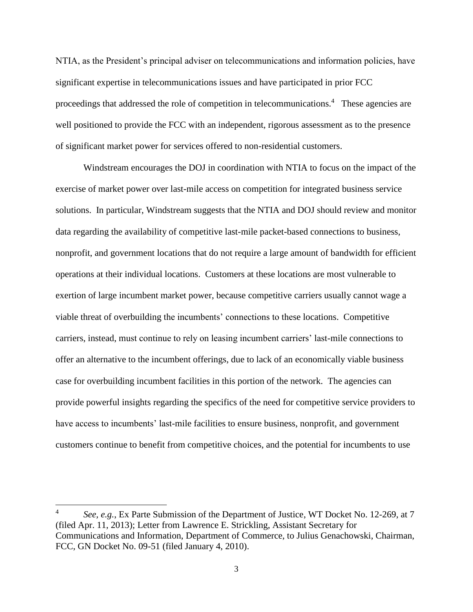NTIA, as the President's principal adviser on telecommunications and information policies, have significant expertise in telecommunications issues and have participated in prior FCC proceedings that addressed the role of competition in telecommunications.<sup>4</sup> These agencies are well positioned to provide the FCC with an independent, rigorous assessment as to the presence of significant market power for services offered to non-residential customers.

Windstream encourages the DOJ in coordination with NTIA to focus on the impact of the exercise of market power over last-mile access on competition for integrated business service solutions. In particular, Windstream suggests that the NTIA and DOJ should review and monitor data regarding the availability of competitive last-mile packet-based connections to business, nonprofit, and government locations that do not require a large amount of bandwidth for efficient operations at their individual locations. Customers at these locations are most vulnerable to exertion of large incumbent market power, because competitive carriers usually cannot wage a viable threat of overbuilding the incumbents' connections to these locations. Competitive carriers, instead, must continue to rely on leasing incumbent carriers' last-mile connections to offer an alternative to the incumbent offerings, due to lack of an economically viable business case for overbuilding incumbent facilities in this portion of the network. The agencies can provide powerful insights regarding the specifics of the need for competitive service providers to have access to incumbents' last-mile facilities to ensure business, nonprofit, and government customers continue to benefit from competitive choices, and the potential for incumbents to use

 $\overline{a}$ 

<sup>4</sup> *See, e.g.*, Ex Parte Submission of the Department of Justice, WT Docket No. 12-269, at 7 (filed Apr. 11, 2013); Letter from Lawrence E. Strickling, Assistant Secretary for Communications and Information, Department of Commerce, to Julius Genachowski, Chairman, FCC, GN Docket No. 09-51 (filed January 4, 2010).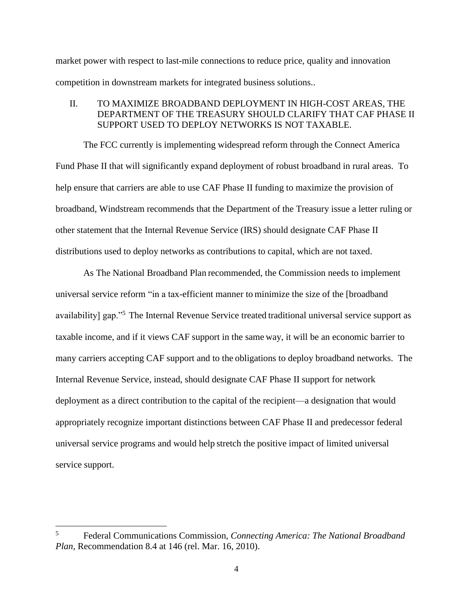market power with respect to last-mile connections to reduce price, quality and innovation competition in downstream markets for integrated business solutions..

# II. TO MAXIMIZE BROADBAND DEPLOYMENT IN HIGH-COST AREAS, THE DEPARTMENT OF THE TREASURY SHOULD CLARIFY THAT CAF PHASE II SUPPORT USED TO DEPLOY NETWORKS IS NOT TAXABLE.

The FCC currently is implementing widespread reform through the Connect America Fund Phase II that will significantly expand deployment of robust broadband in rural areas. To help ensure that carriers are able to use CAF Phase II funding to maximize the provision of broadband, Windstream recommends that the Department of the Treasury issue a letter ruling or other statement that the Internal Revenue Service (IRS) should designate CAF Phase II distributions used to deploy networks as contributions to capital, which are not taxed.

As The National Broadband Plan recommended, the Commission needs to implement universal service reform "in a tax-efficient manner to minimize the size of the [broadband availability] gap."<sup>5</sup> The Internal Revenue Service treated traditional universal service support as taxable income, and if it views CAF support in the same way, it will be an economic barrier to many carriers accepting CAF support and to the obligations to deploy broadband networks. The Internal Revenue Service, instead, should designate CAF Phase II support for network deployment as a direct contribution to the capital of the recipient—a designation that would appropriately recognize important distinctions between CAF Phase II and predecessor federal universal service programs and would help stretch the positive impact of limited universal service support.

 $\overline{\phantom{a}}$ 

<sup>5</sup> Federal Communications Commission, *Connecting America: The National Broadband Plan*, Recommendation 8.4 at 146 (rel. Mar. 16, 2010).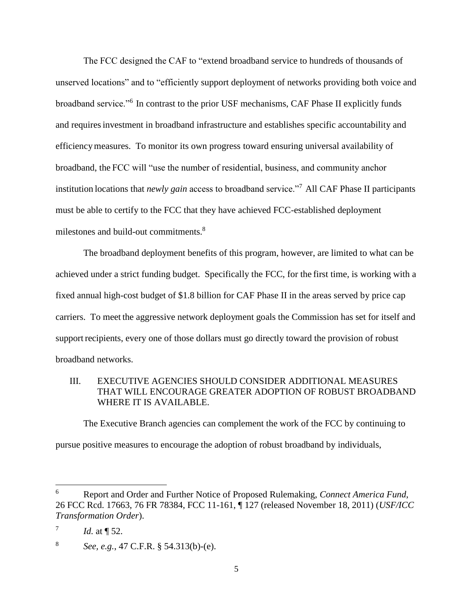The FCC designed the CAF to "extend broadband service to hundreds of thousands of unserved locations" and to "efficiently support deployment of networks providing both voice and broadband service."<sup>6</sup> In contrast to the prior USF mechanisms, CAF Phase II explicitly funds and requiresinvestment in broadband infrastructure and establishes specific accountability and efficiencymeasures. To monitor its own progress toward ensuring universal availability of broadband, the FCC will "use the number of residential, business, and community anchor institution locations that *newly gain* access to broadband service."<sup>7</sup> All CAF Phase II participants must be able to certify to the FCC that they have achieved FCC-established deployment milestones and build-out commitments.<sup>8</sup>

The broadband deployment benefits of this program, however, are limited to what can be achieved under a strict funding budget. Specifically the FCC, for the first time, is working with a fixed annual high-cost budget of \$1.8 billion for CAF Phase II in the areas served by price cap carriers. To meet the aggressive network deployment goals the Commission has set for itself and support recipients, every one of those dollars must go directly toward the provision of robust broadband networks.

# III. EXECUTIVE AGENCIES SHOULD CONSIDER ADDITIONAL MEASURES THAT WILL ENCOURAGE GREATER ADOPTION OF ROBUST BROADBAND WHERE IT IS AVAILABLE.

The Executive Branch agencies can complement the work of the FCC by continuing to pursue positive measures to encourage the adoption of robust broadband by individuals,

<sup>6</sup> <sup>6</sup> Report and Order and Further Notice of Proposed Rulemaking, *Connect America Fund*, 26 FCC Rcd. 17663, 76 FR 78384, FCC 11-161, ¶ 127 (released November 18, 2011) (*USF/ICC Transformation Order*).

<sup>7</sup> *Id.* at  $\P$  52.

<sup>8</sup> *See, e.g.*, 47 C.F.R. § 54.313(b)-(e).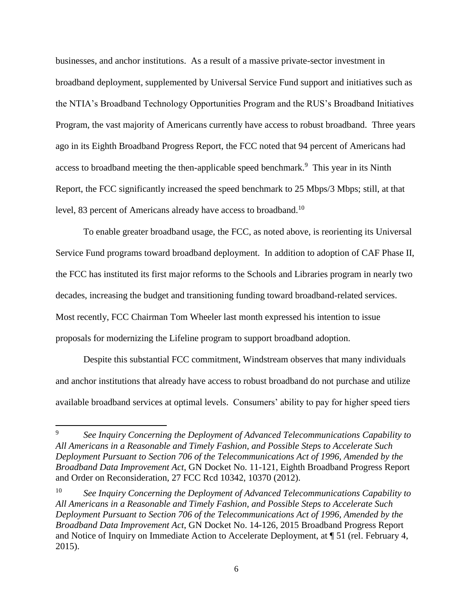businesses, and anchor institutions. As a result of a massive private-sector investment in broadband deployment, supplemented by Universal Service Fund support and initiatives such as the NTIA's Broadband Technology Opportunities Program and the RUS's Broadband Initiatives Program, the vast majority of Americans currently have access to robust broadband. Three years ago in its Eighth Broadband Progress Report, the FCC noted that 94 percent of Americans had access to broadband meeting the then-applicable speed benchmark.<sup>9</sup> This year in its Ninth Report, the FCC significantly increased the speed benchmark to 25 Mbps/3 Mbps; still, at that level, 83 percent of Americans already have access to broadband.<sup>10</sup>

To enable greater broadband usage, the FCC, as noted above, is reorienting its Universal Service Fund programs toward broadband deployment. In addition to adoption of CAF Phase II, the FCC has instituted its first major reforms to the Schools and Libraries program in nearly two decades, increasing the budget and transitioning funding toward broadband-related services. Most recently, FCC Chairman Tom Wheeler last month expressed his intention to issue proposals for modernizing the Lifeline program to support broadband adoption.

Despite this substantial FCC commitment, Windstream observes that many individuals and anchor institutions that already have access to robust broadband do not purchase and utilize available broadband services at optimal levels. Consumers' ability to pay for higher speed tiers

l

<sup>9</sup> *See Inquiry Concerning the Deployment of Advanced Telecommunications Capability to All Americans in a Reasonable and Timely Fashion, and Possible Steps to Accelerate Such Deployment Pursuant to Section 706 of the Telecommunications Act of 1996, Amended by the Broadband Data Improvement Act*, GN Docket No. 11-121, Eighth Broadband Progress Report and Order on Reconsideration, 27 FCC Rcd 10342, 10370 (2012).

<sup>10</sup> *See Inquiry Concerning the Deployment of Advanced Telecommunications Capability to All Americans in a Reasonable and Timely Fashion, and Possible Steps to Accelerate Such Deployment Pursuant to Section 706 of the Telecommunications Act of 1996, Amended by the Broadband Data Improvement Act*, GN Docket No. 14-126, 2015 Broadband Progress Report and Notice of Inquiry on Immediate Action to Accelerate Deployment, at ¶ 51 (rel. February 4, 2015).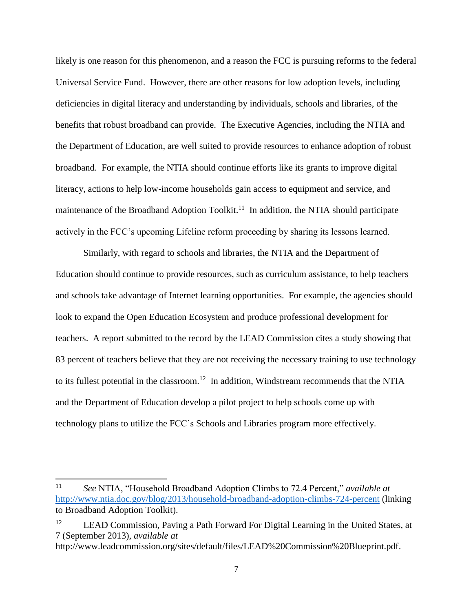likely is one reason for this phenomenon, and a reason the FCC is pursuing reforms to the federal Universal Service Fund. However, there are other reasons for low adoption levels, including deficiencies in digital literacy and understanding by individuals, schools and libraries, of the benefits that robust broadband can provide. The Executive Agencies, including the NTIA and the Department of Education, are well suited to provide resources to enhance adoption of robust broadband. For example, the NTIA should continue efforts like its grants to improve digital literacy, actions to help low-income households gain access to equipment and service, and maintenance of the Broadband Adoption Toolkit.<sup>11</sup> In addition, the NTIA should participate actively in the FCC's upcoming Lifeline reform proceeding by sharing its lessons learned.

Similarly, with regard to schools and libraries, the NTIA and the Department of Education should continue to provide resources, such as curriculum assistance, to help teachers and schools take advantage of Internet learning opportunities. For example, the agencies should look to expand the Open Education Ecosystem and produce professional development for teachers. A report submitted to the record by the LEAD Commission cites a study showing that 83 percent of teachers believe that they are not receiving the necessary training to use technology to its fullest potential in the classroom.<sup>12</sup> In addition, Windstream recommends that the NTIA and the Department of Education develop a pilot project to help schools come up with technology plans to utilize the FCC's Schools and Libraries program more effectively.

 $11$ <sup>11</sup> *See* NTIA, "Household Broadband Adoption Climbs to 72.4 Percent," *available at* <http://www.ntia.doc.gov/blog/2013/household-broadband-adoption-climbs-724-percent> (linking to Broadband Adoption Toolkit).

<sup>&</sup>lt;sup>12</sup> LEAD Commission, Paving a Path Forward For Digital Learning in the United States, at 7 (September 2013), *available at*

http://www.leadcommission.org/sites/default/files/LEAD%20Commission%20Blueprint.pdf.